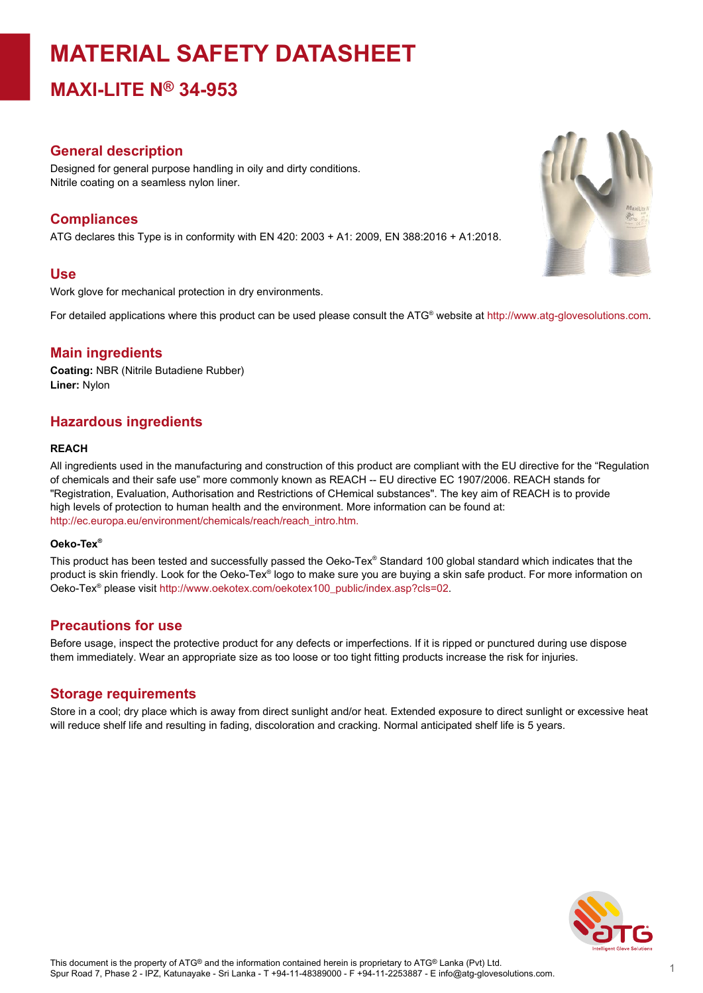# **MATERIAL SAFETY DATASHEET**

**MAXI-LITE N® 34-953**

#### **General description**

Designed for general purpose handling in oily and dirty conditions. Nitrile coating on a seamless nylon liner.

#### **Compliances**

ATG declares this Type is in conformity with EN 420: 2003 + A1: 2009, EN 388:2016 + A1:2018.

#### **Use**

Work glove for mechanical protection in dry environments.

For detailed applications where this product can be used please consult the ATG® website at http://www.atg-glovesolutions.com.

#### **Main ingredients**

**Coating:** NBR (Nitrile Butadiene Rubber) **Liner:** Nylon

### **Hazardous ingredients**

#### **REACH**

All ingredients used in the manufacturing and construction of this product are compliant with the EU directive for the "Regulation of chemicals and their safe use" more commonly known as REACH -- EU directive EC 1907/2006. REACH stands for "Registration, Evaluation, Authorisation and Restrictions of CHemical substances". The key aim of REACH is to provide high levels of protection to human health and the environment. More information can be found at: [http://ec.europa.eu/environment/chemicals/reach/reach\\_intro.htm.](http://ec.europa.eu/environment/chemicals/reach/reach_intro.htm.)

#### **Oeko-Tex ®**

This product has been tested and successfully passed the Oeko-Tex® Standard 100 global standard which indicates that the product is skin friendly. Look for the Oeko-Tex® logo to make sure you are buying a skin safe product. For more information on Oeko-Tex® please visit [http://www.oekotex.com/oekotex100\\_public/index.asp?cls=02.](http://www.oekotex.com/oekotex100_public/index.asp?cls=02)

#### **Precautions for use**

Before usage, inspect the protective product for any defects or imperfections. If it is ripped or punctured during use dispose them immediately. Wear an appropriate size as too loose or too tight fitting products increase the risk for injuries.

#### **Storage requirements**

Store in a cool; dry place which is away from direct sunlight and/or heat. Extended exposure to direct sunlight or excessive heat will reduce shelf life and resulting in fading, discoloration and cracking. Normal anticipated shelf life is 5 years.